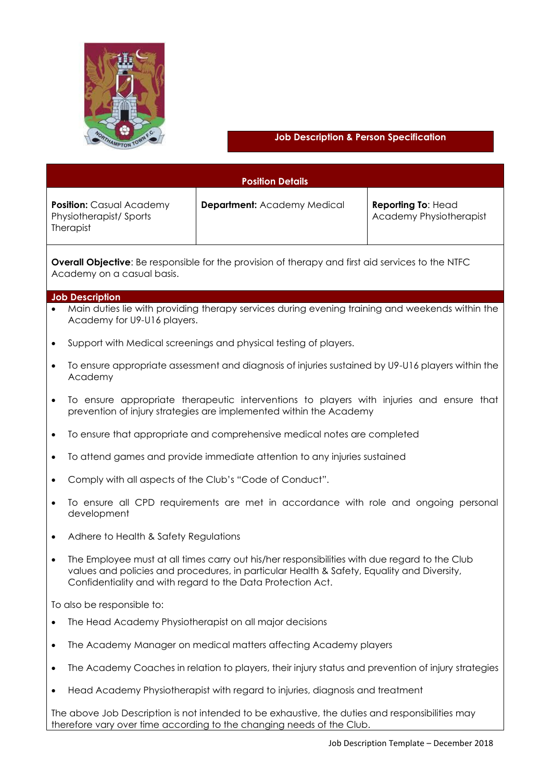

# **Job Description & Person Specification**

| <b>Position Details</b>                                                                                                                                                                                                                                                 |                                    |                                                      |
|-------------------------------------------------------------------------------------------------------------------------------------------------------------------------------------------------------------------------------------------------------------------------|------------------------------------|------------------------------------------------------|
| <b>Position:</b> Casual Academy<br>Physiotherapist/Sports<br>Therapist                                                                                                                                                                                                  | <b>Department: Academy Medical</b> | Reporting To: Head<br><b>Academy Physiotherapist</b> |
| <b>Overall Objective:</b> Be responsible for the provision of therapy and first aid services to the NTFC<br>Academy on a casual basis.                                                                                                                                  |                                    |                                                      |
| <b>Job Description</b><br>Main duties lie with providing therapy services during evening training and weekends within the                                                                                                                                               |                                    |                                                      |
| Academy for U9-U16 players.                                                                                                                                                                                                                                             |                                    |                                                      |
| Support with Medical screenings and physical testing of players.<br>$\bullet$                                                                                                                                                                                           |                                    |                                                      |
| To ensure appropriate assessment and diagnosis of injuries sustained by U9-U16 players within the<br>$\bullet$<br>Academy                                                                                                                                               |                                    |                                                      |
| To ensure appropriate therapeutic interventions to players with injuries and ensure that<br>$\bullet$<br>prevention of injury strategies are implemented within the Academy                                                                                             |                                    |                                                      |
| To ensure that appropriate and comprehensive medical notes are completed<br>$\bullet$                                                                                                                                                                                   |                                    |                                                      |
| To attend games and provide immediate attention to any injuries sustained<br>$\bullet$                                                                                                                                                                                  |                                    |                                                      |
| Comply with all aspects of the Club's "Code of Conduct".                                                                                                                                                                                                                |                                    |                                                      |
| To ensure all CPD requirements are met in accordance with role and ongoing personal<br>development                                                                                                                                                                      |                                    |                                                      |
| Adhere to Health & Safety Regulations<br>$\bullet$                                                                                                                                                                                                                      |                                    |                                                      |
| The Employee must at all times carry out his/her responsibilities with due regard to the Club<br>$\bullet$<br>values and policies and procedures, in particular Health & Safety, Equality and Diversity,<br>Confidentiality and with regard to the Data Protection Act. |                                    |                                                      |
| To also be responsible to:                                                                                                                                                                                                                                              |                                    |                                                      |
| The Head Academy Physiotherapist on all major decisions<br>$\bullet$                                                                                                                                                                                                    |                                    |                                                      |
| The Academy Manager on medical matters affecting Academy players<br>$\bullet$                                                                                                                                                                                           |                                    |                                                      |
| The Academy Coaches in relation to players, their injury status and prevention of injury strategies<br>$\bullet$                                                                                                                                                        |                                    |                                                      |
| Head Academy Physiotherapist with regard to injuries, diagnosis and treatment<br>$\bullet$                                                                                                                                                                              |                                    |                                                      |
| The above Job Description is not intended to be exhaustive, the duties and responsibilities may<br>therefore vary over time according to the changing needs of the Club.                                                                                                |                                    |                                                      |